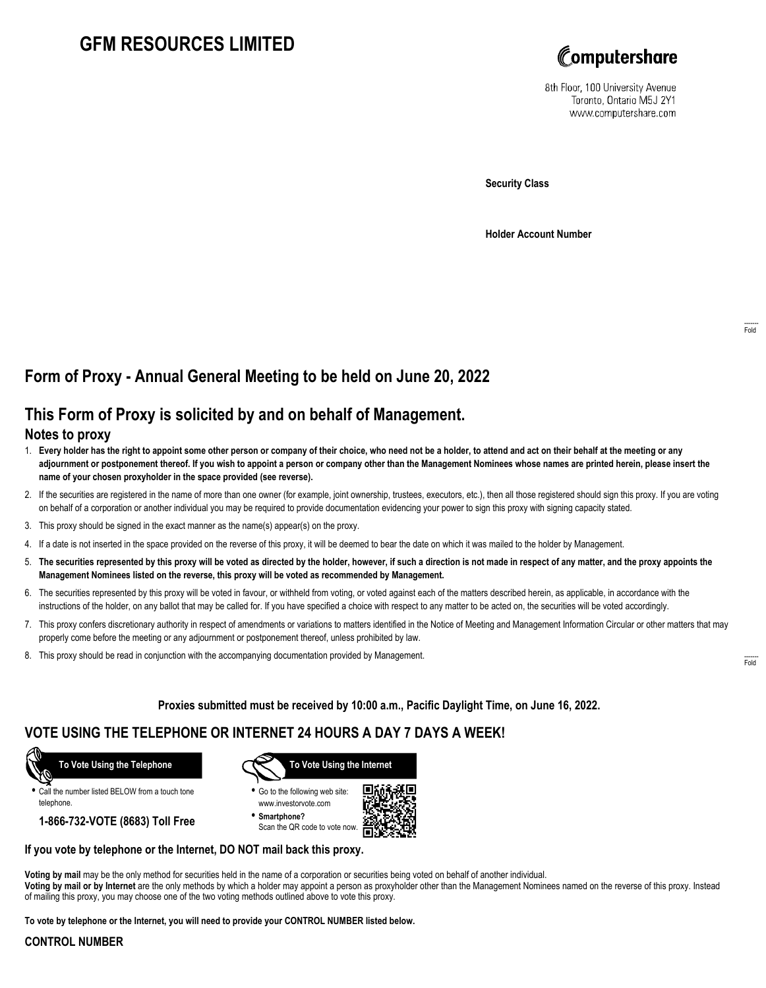# **GFM RESOURCES LIMITED**



8th Floor, 100 University Avenue Toronto, Ontario M5J 2Y1 www.computershare.com

**Security Class**

**Holder Account Number**

# **Form of Proxy - Annual General Meeting to be held on June 20, 2022**

### **This Form of Proxy is solicited by and on behalf of Management.**

#### **Notes to proxy**

- 1. **Every holder has the right to appoint some other person or company of their choice, who need not be a holder, to attend and act on their behalf at the meeting or any adjournment or postponement thereof. If you wish to appoint a person or company other than the Management Nominees whose names are printed herein, please insert the name of your chosen proxyholder in the space provided (see reverse).**
- 2. If the securities are registered in the name of more than one owner (for example, joint ownership, trustees, executors, etc.), then all those registered should sign this proxy. If you are voting on behalf of a corporation or another individual you may be required to provide documentation evidencing your power to sign this proxy with signing capacity stated.
- 3. This proxy should be signed in the exact manner as the name(s) appear(s) on the proxy.
- 4. If a date is not inserted in the space provided on the reverse of this proxy, it will be deemed to bear the date on which it was mailed to the holder by Management.
- 5. **The securities represented by this proxy will be voted as directed by the holder, however, if such a direction is not made in respect of any matter, and the proxy appoints the Management Nominees listed on the reverse, this proxy will be voted as recommended by Management.**
- 6. The securities represented by this proxy will be voted in favour, or withheld from voting, or voted against each of the matters described herein, as applicable, in accordance with the instructions of the holder, on any ballot that may be called for. If you have specified a choice with respect to any matter to be acted on, the securities will be voted accordingly.
- 7. This proxy confers discretionary authority in respect of amendments or variations to matters identified in the Notice of Meeting and Management Information Circular or other matters that may properly come before the meeting or any adjournment or postponement thereof, unless prohibited by law.
- 8. This proxy should be read in conjunction with the accompanying documentation provided by Management.

**Proxies submitted must be received by 10:00 a.m., Pacific Daylight Time, on June 16, 2022.**

## **VOTE USING THE TELEPHONE OR INTERNET 24 HOURS A DAY 7 DAYS A WEEK!**



**•** Call the number listed BELOW from a touch tone telephone.

**1-866-732-VOTE (8683) Toll Free**



**•** Go to the following web site: www.investorvote.com

**• Smartphone?** Scan the QR code to vote now.



#### **If you vote by telephone or the Internet, DO NOT mail back this proxy.**

**Voting by mail** may be the only method for securities held in the name of a corporation or securities being voted on behalf of another individual. **Voting by mail or by Internet** are the only methods by which a holder may appoint a person as proxyholder other than the Management Nominees named on the reverse of this proxy. Instead of mailing this proxy, you may choose one of the two voting methods outlined above to vote this proxy.

**To vote by telephone or the Internet, you will need to provide your CONTROL NUMBER listed below.**

#### **CONTROL NUMBER**